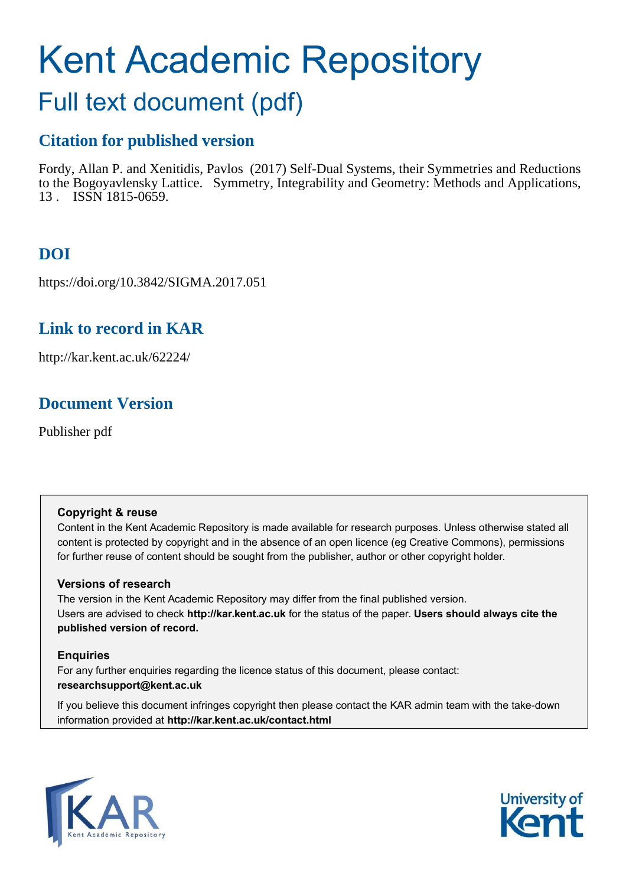# Kent Academic Repository

## Full text document (pdf)

## **Citation for published version**

Fordy, Allan P. and Xenitidis, Pavlos (2017) Self-Dual Systems, their Symmetries and Reductions to the Bogoyavlensky Lattice. Symmetry, Integrability and Geometry: Methods and Applications, 13 . ISSN 1815-0659.

## **DOI**

https://doi.org/10.3842/SIGMA.2017.051

## **Link to record in KAR**

http://kar.kent.ac.uk/62224/

## **Document Version**

Publisher pdf

#### **Copyright & reuse**

Content in the Kent Academic Repository is made available for research purposes. Unless otherwise stated all content is protected by copyright and in the absence of an open licence (eg Creative Commons), permissions for further reuse of content should be sought from the publisher, author or other copyright holder.

#### **Versions of research**

The version in the Kent Academic Repository may differ from the final published version. Users are advised to check **http://kar.kent.ac.uk** for the status of the paper. **Users should always cite the published version of record.**

#### **Enquiries**

For any further enquiries regarding the licence status of this document, please contact: **researchsupport@kent.ac.uk**

If you believe this document infringes copyright then please contact the KAR admin team with the take-down information provided at **http://kar.kent.ac.uk/contact.html**

<span id="page-0-0"></span>

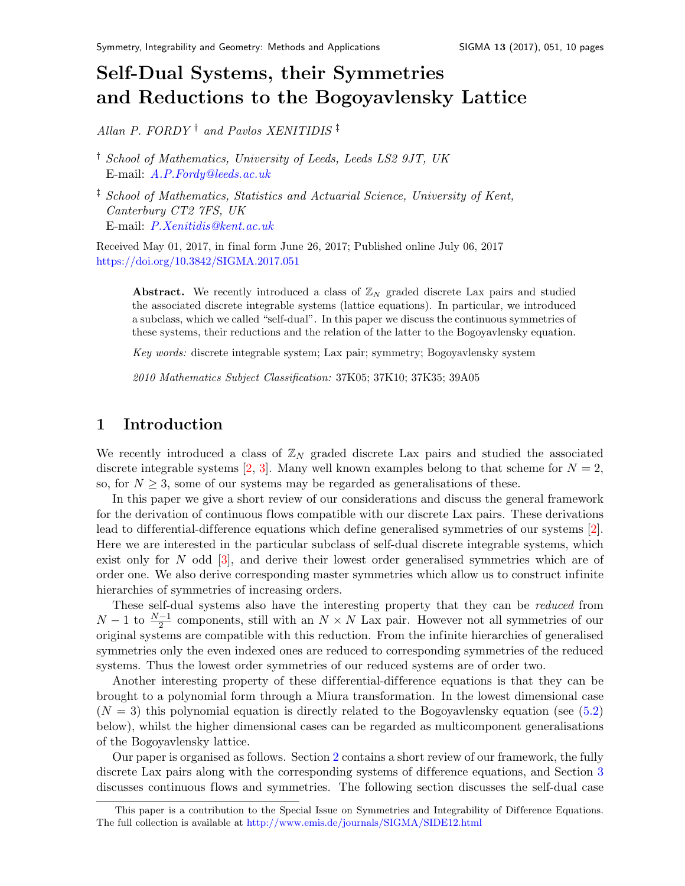## Self-Dual Systems, their Symmetries and Reductions to the Bogoyavlensky Lattic[e](#page-0-0)

<span id="page-1-0"></span>Allan P. FORDY<sup>†</sup> and Pavlos XENITIDIS<sup>‡</sup>

† School of Mathematics, University of Leeds, Leeds LS2 9JT, UK E-mail: [A.P.Fordy@leeds.ac.uk](mailto:A.P.Fordy@leeds.ac.uk)

<span id="page-1-1"></span>‡ School of Mathematics, Statistics and Actuarial Science, University of Kent, Canterbury CT2 7FS, UK E-mail: [P.Xenitidis@kent.ac.uk](mailto:P.Xenitidis@kent.ac.uk)

Received May 01, 2017, in final form June 26, 2017; Published online July 06, 2017 <https://doi.org/10.3842/SIGMA.2017.051>

**Abstract.** We recently introduced a class of  $\mathbb{Z}_N$  graded discrete Lax pairs and studied the associated discrete integrable systems (lattice equations). In particular, we introduced a subclass, which we called "self-dual". In this paper we discuss the continuous symmetries of these systems, their reductions and the relation of the latter to the Bogoyavlensky equation.

Key words: discrete integrable system; Lax pair; symmetry; Bogoyavlensky system

2010 Mathematics Subject Classification: 37K05; 37K10; 37K35; 39A05

#### 1 Introduction

We recently introduced a class of  $\mathbb{Z}_N$  graded discrete Lax pairs and studied the associated discrete integrable systems [\[2,](#page-9-0) [3\]](#page-9-1). Many well known examples belong to that scheme for  $N = 2$ , so, for  $N \geq 3$ , some of our systems may be regarded as generalisations of these.

<span id="page-1-6"></span>In this paper we give a short review of our considerations and discuss the general framework for the derivation of continuous flows compatible with our discrete Lax pairs. These derivations lead to differential-difference equations which define generalised symmetries of our systems [\[2\]](#page-9-0). Here we are interested in the particular subclass of self-dual discrete integrable systems, which exist only for  $N$  odd  $[3]$ , and derive their lowest order generalised symmetries which are of order one. We also derive corresponding master symmetries which allow us to construct infinite hierarchies of symmetries of increasing orders.

<span id="page-1-5"></span><span id="page-1-3"></span><span id="page-1-2"></span>These self-dual systems also have the interesting property that they can be reduced from  $N-1$  to  $\frac{N-1}{2}$  components, still with an  $N \times N$  Lax pair. However not all symmetries of our original systems are compatible with this reduction. From the infinite hierarchies of generalised symmetries only the even indexed ones are reduced to corresponding symmetries of the reduced systems. Thus the lowest order symmetries of our reduced systems are of order two.

Another interesting property of these differential-difference equations is that they can be brought to a polynomial form through a Miura transformation. In the lowest dimensional case  $(N = 3)$  this polynomial equation is directly related to the Bogoyavlensky equation (see [\(5.2\)](#page-8-0) below), whilst the higher dimensional cases can be regarded as multicomponent generalisations of the Bogoyavlensky lattice.

<span id="page-1-7"></span>Our paper is organised as follows. Section [2](#page-1-0) contains a short review of our framework, the fully discrete Lax pairs along with the corresponding systems of difference equations, and Section [3](#page-2-0) discusses continuous flows and symmetries. The following section discusses the self-dual case

<span id="page-1-4"></span>This paper is a contribution to the Special Issue on Symmetries and Integrability of Difference Equations. The full collection is available at <http://www.emis.de/journals/SIGMA/SIDE12.html>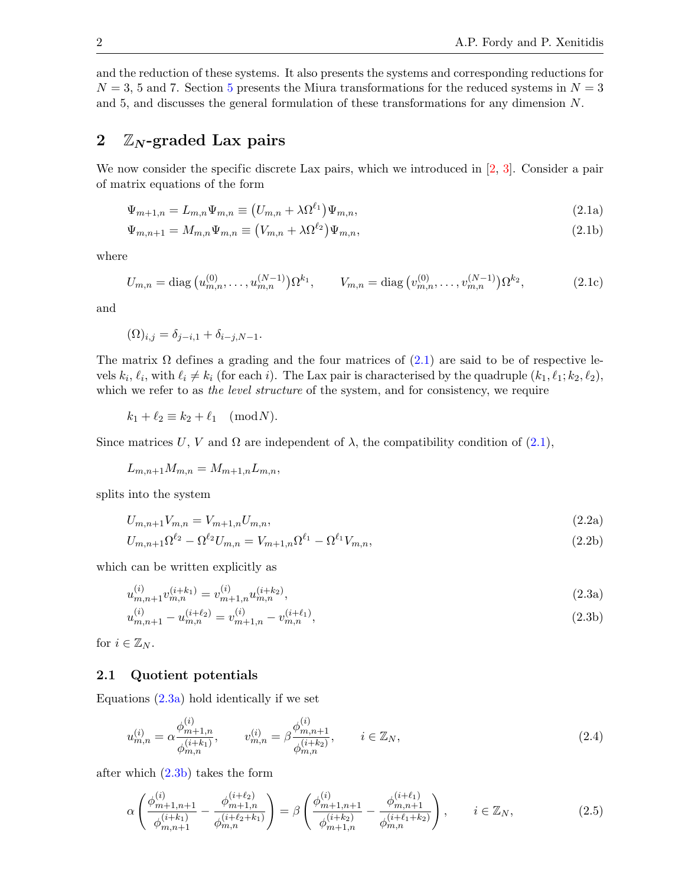and the reduction of these systems. It also presents the systems and corresponding reductions for  $N = 3$ , [5](#page-8-1) and 7. Section 5 presents the Miura transformations for the reduced systems in  $N = 3$ and 5, and discusses the general formulation of these transformations for any dimension N.

#### 2  $\mathbb{Z}_N$ -graded Lax pairs

We now consider the specific discrete Lax pairs, which we introduced in [\[2,](#page-9-0) [3\]](#page-9-1). Consider a pair of matrix equations of the form

<span id="page-2-6"></span><span id="page-2-1"></span>
$$
\Psi_{m+1,n} = L_{m,n} \Psi_{m,n} \equiv (U_{m,n} + \lambda \Omega^{\ell_1}) \Psi_{m,n}, \qquad (2.1a)
$$

$$
\Psi_{m,n+1} = M_{m,n} \Psi_{m,n} \equiv (V_{m,n} + \lambda \Omega^{\ell_2}) \Psi_{m,n},\tag{2.1b}
$$

where

$$
U_{m,n} = \text{diag}\left(u_{m,n}^{(0)}, \dots, u_{m,n}^{(N-1)}\right) \Omega^{k_1}, \qquad V_{m,n} = \text{diag}\left(v_{m,n}^{(0)}, \dots, v_{m,n}^{(N-1)}\right) \Omega^{k_2},\tag{2.1c}
$$

<span id="page-2-0"></span>and

$$
(\Omega)_{i,j} = \delta_{j-i,1} + \delta_{i-j,N-1}.
$$

The matrix  $\Omega$  defines a grading and the four matrices of [\(2.1\)](#page-1-1) are said to be of respective levels  $k_i, \ell_i$ , with  $\ell_i \neq k_i$  (for each i). The Lax pair is characterised by the quadruple  $(k_1, \ell_1; k_2, \ell_2)$ , which we refer to as the level structure of the system, and for consistency, we require

$$
k_1 + \ell_2 \equiv k_2 + \ell_1 \pmod{N}.
$$

Since matrices U, V and  $\Omega$  are independent of  $\lambda$ , the compatibility condition of [\(2.1\)](#page-1-1),

$$
L_{m,n+1}M_{m,n} = M_{m+1,n}L_{m,n},
$$

splits into the system

$$
U_{m,n+1}V_{m,n} = V_{m+1,n}U_{m,n},\tag{2.2a}
$$

$$
U_{m,n+1}\Omega^{\ell_2} - \Omega^{\ell_2}U_{m,n} = V_{m+1,n}\Omega^{\ell_1} - \Omega^{\ell_1}V_{m,n},\tag{2.2b}
$$

which can be written explicitly as

<span id="page-2-4"></span>
$$
u_{m,n+1}^{(i)}v_{m,n}^{(i+k_1)} = v_{m+1,n}^{(i)}u_{m,n}^{(i+k_2)},\tag{2.3a}
$$

<span id="page-2-5"></span>
$$
u_{m,n+1}^{(i)} - u_{m,n}^{(i+\ell_2)} = v_{m+1,n}^{(i)} - v_{m,n}^{(i+\ell_1)},
$$
\n(2.3b)

for  $i \in \mathbb{Z}_N$ .

#### 2.1 Quotient potentials

Equations  $(2.3a)$  hold identically if we set

<span id="page-2-3"></span><span id="page-2-2"></span>
$$
u_{m,n}^{(i)} = \alpha \frac{\phi_{m+1,n}^{(i)}}{\phi_{m,n}^{(i+k_1)}}, \qquad v_{m,n}^{(i)} = \beta \frac{\phi_{m,n+1}^{(i)}}{\phi_{m,n}^{(i+k_2)}}, \qquad i \in \mathbb{Z}_N,
$$
\n(2.4)

after which  $(2.3b)$  takes the form

$$
\alpha \left( \frac{\phi_{m+1,n+1}^{(i)}}{\phi_{m,n+1}^{(i+k_1)}} - \frac{\phi_{m+1,n}^{(i+\ell_2)}}{\phi_{m,n}^{(i+\ell_2+k_1)}} \right) = \beta \left( \frac{\phi_{m+1,n+1}^{(i)}}{\phi_{m+1,n}^{(i+k_2)}} - \frac{\phi_{m,n+1}^{(i+\ell_1)}}{\phi_{m,n}^{(i+\ell_1+k_2)}} \right), \qquad i \in \mathbb{Z}_N, \tag{2.5}
$$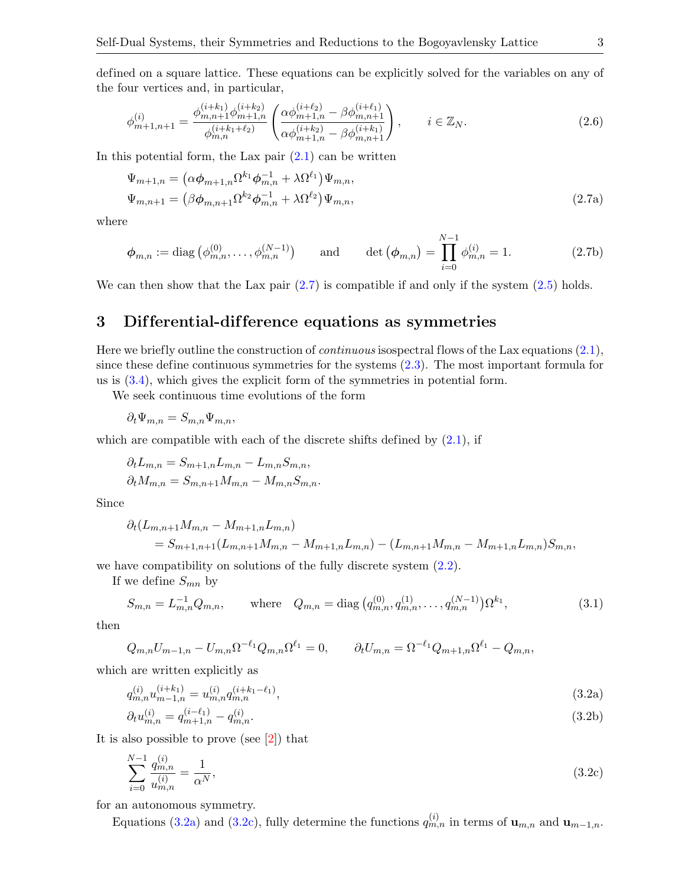defined on a square lattice. These equations can be explicitly solved for the variables on any of the four vertices and, in particular,

<span id="page-3-3"></span>
$$
\phi_{m+1,n+1}^{(i)} = \frac{\phi_{m,n+1}^{(i+k_1)} \phi_{m+1,n}^{(i+k_2)}}{\phi_{m,n}^{(i+k_1+\ell_2)}} \left( \frac{\alpha \phi_{m+1,n}^{(i+\ell_2)} - \beta \phi_{m,n+1}^{(i+\ell_1)}}{\alpha \phi_{m+1,n}^{(i+k_2)} - \beta \phi_{m,n+1}^{(i+k_1)}} \right), \qquad i \in \mathbb{Z}_N.
$$
\n(2.6)

In this potential form, the Lax pair  $(2.1)$  can be written

$$
\Psi_{m+1,n} = (\alpha \phi_{m+1,n} \Omega^{k_1} \phi_{m,n}^{-1} + \lambda \Omega^{\ell_1}) \Psi_{m,n}, \n\Psi_{m,n+1} = (\beta \phi_{m,n+1} \Omega^{k_2} \phi_{m,n}^{-1} + \lambda \Omega^{\ell_2}) \Psi_{m,n},
$$
\n(2.7a)

where

$$
\phi_{m,n} := \text{diag}\left(\phi_{m,n}^{(0)}, \dots, \phi_{m,n}^{(N-1)}\right) \quad \text{and} \quad \text{det}\left(\phi_{m,n}\right) = \prod_{i=0}^{N-1} \phi_{m,n}^{(i)} = 1. \tag{2.7b}
$$

We can then show that the Lax pair  $(2.7)$  is compatible if and only if the system  $(2.5)$  holds.

#### 3 Dif ferential-dif ference equations as symmetries

Here we briefly outline the construction of *continuous* isospectral flows of the Lax equations  $(2.1)$ , since these define continuous symmetries for the systems [\(2.3\)](#page-1-5). The most important formula for us is [\(3.4\)](#page-3-0), which gives the explicit form of the symmetries in potential form.

We seek continuous time evolutions of the form

$$
\partial_t \Psi_{m,n} = S_{m,n} \Psi_{m,n},
$$

which are compatible with each of the discrete shifts defined by  $(2.1)$ , if

$$
\partial_t L_{m,n} = S_{m+1,n} L_{m,n} - L_{m,n} S_{m,n},
$$
  

$$
\partial_t M_{m,n} = S_{m,n+1} M_{m,n} - M_{m,n} S_{m,n}.
$$

Since

<span id="page-3-1"></span><span id="page-3-0"></span>
$$
\partial_t (L_{m,n+1}M_{m,n} - M_{m+1,n}L_{m,n})
$$
  
=  $S_{m+1,n+1}(L_{m,n+1}M_{m,n} - M_{m+1,n}L_{m,n}) - (L_{m,n+1}M_{m,n} - M_{m+1,n}L_{m,n})S_{m,n}$ ,

we have compatibility on solutions of the fully discrete system [\(2.2\)](#page-1-6).

If we define  $S_{mn}$  by

<span id="page-3-2"></span>
$$
S_{m,n} = L_{m,n}^{-1} Q_{m,n}, \qquad \text{where} \quad Q_{m,n} = \text{diag}\left(q_{m,n}^{(0)}, q_{m,n}^{(1)}, \dots, q_{m,n}^{(N-1)}\right) \Omega^{k_1},\tag{3.1}
$$

then

$$
Q_{m,n}U_{m-1,n} - U_{m,n}\Omega^{-\ell_1}Q_{m,n}\Omega^{\ell_1} = 0, \qquad \partial_t U_{m,n} = \Omega^{-\ell_1}Q_{m+1,n}\Omega^{\ell_1} - Q_{m,n},
$$

which are written explicitly as

$$
q_{m,n}^{(i)}u_{m-1,n}^{(i+k_1)} = u_{m,n}^{(i)}q_{m,n}^{(i+k_1-\ell_1)},\tag{3.2a}
$$

<span id="page-3-4"></span>
$$
\partial_t u_{m,n}^{(i)} = q_{m+1,n}^{(i-\ell_1)} - q_{m,n}^{(i)}.\tag{3.2b}
$$

It is also possible to prove (see [\[2\]](#page-9-0)) that

$$
\sum_{i=0}^{N-1} \frac{q_{m,n}^{(i)}}{u_{m,n}^{(i)}} = \frac{1}{\alpha^N},\tag{3.2c}
$$

for an autonomous symmetry.

Equations [\(3.2a\)](#page-2-2) and [\(3.2c\)](#page-2-3), fully determine the functions  $q_{m,n}^{(i)}$  in terms of  $\mathbf{u}_{m,n}$  and  $\mathbf{u}_{m-1,n}$ .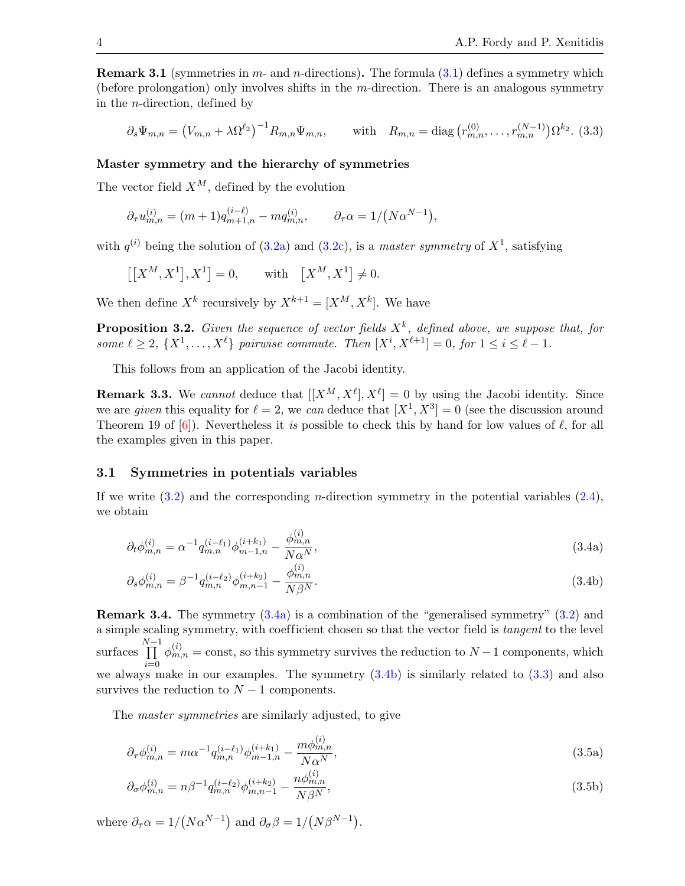**Remark 3.1** (symmetries in  $m$ - and  $n$ -directions). The formula  $(3.1)$  defines a symmetry which (before prolongation) only involves shifts in the m-direction. There is an analogous symmetry in the n-direction, defined by

<span id="page-4-1"></span>
$$
\partial_s \Psi_{m,n} = (V_{m,n} + \lambda \Omega^{\ell_2})^{-1} R_{m,n} \Psi_{m,n}, \quad \text{with} \quad R_{m,n} = \text{diag}\left(r_{m,n}^{(0)}, \dots, r_{m,n}^{(N-1)}\right) \Omega^{k_2}.
$$
 (3.3)

#### Master symmetry and the hierarchy of symmetries

The vector field  $X^M$ , defined by the evolution

$$
\partial_{\tau} u_{m,n}^{(i)} = (m+1) q_{m+1,n}^{(i-\ell)} - m q_{m,n}^{(i)}, \qquad \partial_{\tau} \alpha = 1/(N \alpha^{N-1}),
$$

with  $q^{(i)}$  being the solution of  $(3.2a)$  and  $(3.2c)$ , is a master symmetry of  $X<sup>1</sup>$ , satisfying

$$
\left[\left[X^M, X^1\right], X^1\right] = 0, \quad \text{with} \quad \left[X^M, X^1\right] \neq 0.
$$

We then define  $X^k$  recursively by  $X^{k+1} = [X^M, X^k]$ . We have

**Proposition 3.2.** Given the sequence of vector fields  $X<sup>k</sup>$ , defined above, we suppose that, for some  $\ell \geq 2$ ,  $\{X^1, \ldots, X^{\ell}\}\$  pairwise commute. Then  $[X^i, X^{\ell+1}] = 0$ , for  $1 \leq i \leq \ell - 1$ .

This follows from an application of the Jacobi identity.

**Remark 3.3.** We cannot deduce that  $[[X^M, X^\ell], X^\ell] = 0$  by using the Jacobi identity. Since we are given this equality for  $\ell = 2$ , we can deduce that  $[X^1, X^3] = 0$  (see the discussion around Theorem 19 of  $[6]$ ). Nevertheless it is possible to check this by hand for low values of  $\ell$ , for all the examples given in this paper.

#### 3.1 Symmetries in potentials variables

If we write  $(3.2)$  and the corresponding *n*-direction symmetry in the potential variables  $(2.4)$ , we obtain

$$
\partial_t \phi_{m,n}^{(i)} = \alpha^{-1} q_{m,n}^{(i-\ell_1)} \phi_{m-1,n}^{(i+k_1)} - \frac{\phi_{m,n}^{(i)}}{N \alpha^N},\tag{3.4a}
$$

<span id="page-4-0"></span>
$$
\partial_s \phi_{m,n}^{(i)} = \beta^{-1} q_{m,n}^{(i-\ell_2)} \phi_{m,n-1}^{(i+k_2)} - \frac{\phi_{m,n}^{(i)}}{N \beta^N}.
$$
\n(3.4b)

Remark 3.4. The symmetry [\(3.4a\)](#page-3-1) is a combination of the "generalised symmetry" [\(3.2\)](#page-2-5) and a simple scaling symmetry, with coefficient chosen so that the vector field is *tangent* to the level surfaces  $\prod^{N-1}$  $i=0$  $\phi_{m,n}^{(i)} = \text{const}$ , so this symmetry survives the reduction to  $N-1$  components, which we always make in our examples. The symmetry  $(3.4b)$  is similarly related to  $(3.3)$  and also survives the reduction to  $N-1$  components.

The master symmetries are similarly adjusted, to give

$$
\partial_{\tau}\phi_{m,n}^{(i)} = m\alpha^{-1}q_{m,n}^{(i-\ell_1)}\phi_{m-1,n}^{(i+k_1)} - \frac{m\phi_{m,n}^{(i)}}{N\alpha^N},\tag{3.5a}
$$

$$
\partial_{\sigma}\phi_{m,n}^{(i)} = n\beta^{-1} q_{m,n}^{(i-\ell_2)} \phi_{m,n-1}^{(i+\ell_2)} - \frac{n\phi_{m,n}^{(i)}}{N\beta^N},\tag{3.5b}
$$

where  $\partial_{\tau} \alpha = 1/(N \alpha^{N-1})$  and  $\partial_{\sigma} \beta = 1/(N \beta^{N-1})$ .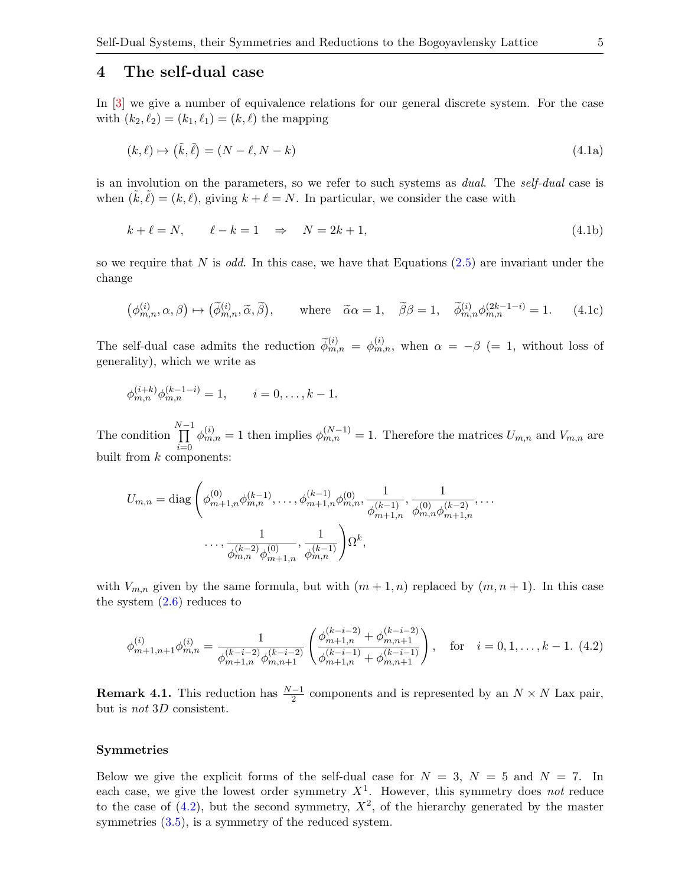#### 4 The self-dual case

In [\[3\]](#page-9-1) we give a number of equivalence relations for our general discrete system. For the case with  $(k_2, \ell_2) = (k_1, \ell_1) = (k, \ell)$  the mapping

<span id="page-5-0"></span>
$$
(k, \ell) \mapsto (\tilde{k}, \tilde{\ell}) = (N - \ell, N - k) \tag{4.1a}
$$

is an involution on the parameters, so we refer to such systems as *dual*. The *self-dual* case is when  $(\tilde{k}, \tilde{\ell}) = (k, \ell)$ , giving  $k + \ell = N$ . In particular, we consider the case with

$$
k + \ell = N, \qquad \ell - k = 1 \quad \Rightarrow \quad N = 2k + 1,\tag{4.1b}
$$

so we require that N is odd. In this case, we have that Equations  $(2.5)$  are invariant under the change

$$
\left(\phi_{m,n}^{(i)}, \alpha, \beta\right) \mapsto \left(\widetilde{\phi}_{m,n}^{(i)}, \widetilde{\alpha}, \widetilde{\beta}\right), \qquad \text{where} \quad \widetilde{\alpha}\alpha = 1, \quad \widetilde{\beta}\beta = 1, \quad \widetilde{\phi}_{m,n}^{(i)} \phi_{m,n}^{(2k-1-i)} = 1. \tag{4.1c}
$$

The self-dual case admits the reduction  $\tilde{\phi}_{m,n}^{(i)} = \phi_{m,n}^{(i)}$ , when  $\alpha = -\beta$  (= 1, without loss of generality), which we write as

$$
\phi_{m,n}^{(i+k)} \phi_{m,n}^{(k-1-i)} = 1, \qquad i = 0, \ldots, k-1.
$$

The condition  $\prod^{N-1}$  $i=0$  $\phi_{m,n}^{(i)} = 1$  then implies  $\phi_{m,n}^{(N-1)} = 1$ . Therefore the matrices  $U_{m,n}$  and  $V_{m,n}$  are built from  $k$  components:

<span id="page-5-1"></span>
$$
U_{m,n} = \text{diag}\left(\phi_{m+1,n}^{(0)}\phi_{m,n}^{(k-1)},\dots,\phi_{m+1,n}^{(k-1)}\phi_{m,n}^{(0)},\frac{1}{\phi_{m+1,n}^{(k-1)}},\frac{1}{\phi_{m,n}^{(0)}\phi_{m+1,n}^{(k-2)}},\dots,\frac{1}{\phi_{m,n}^{(k-2)}\phi_{m+1,n}^{(0)}},\frac{1}{\phi_{m,n}^{(k-1)}}\right)\Omega^k,
$$

with  $V_{m,n}$  given by the same formula, but with  $(m+1,n)$  replaced by  $(m, n+1)$ . In this case the system  $(2.6)$  reduces to

<span id="page-5-2"></span>
$$
\phi_{m+1,n+1}^{(i)}\phi_{m,n}^{(i)} = \frac{1}{\phi_{m+1,n}^{(k-i-2)}\phi_{m,n+1}^{(k-i-2)}} \left(\frac{\phi_{m+1,n}^{(k-i-2)} + \phi_{m,n+1}^{(k-i-2)}}{\phi_{m+1,n}^{(k-i-1)} + \phi_{m,n+1}^{(k-i-1)}}\right), \quad \text{for} \quad i = 0, 1, \dots, k-1. \tag{4.2}
$$

**Remark 4.1.** This reduction has  $\frac{N-1}{2}$  components and is represented by an  $N \times N$  Lax pair, but is not 3D consistent.

#### Symmetries

Below we give the explicit forms of the self-dual case for  $N = 3$ ,  $N = 5$  and  $N = 7$ . In each case, we give the lowest order symmetry  $X^1$ . However, this symmetry does not reduce to the case of  $(4.2)$ , but the second symmetry,  $X^2$ , of the hierarchy generated by the master symmetries  $(3.5)$ , is a symmetry of the reduced system.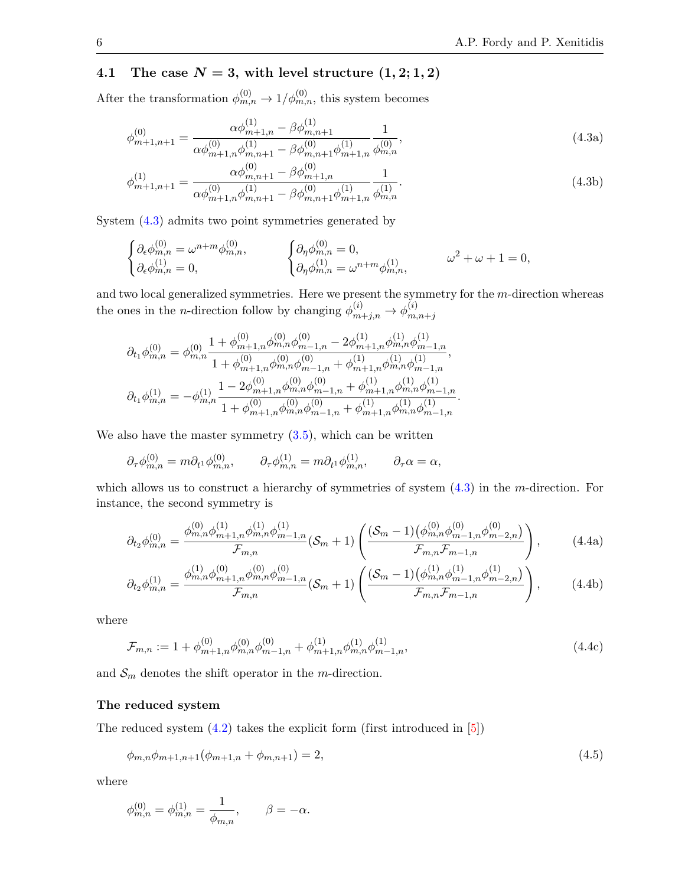#### 4.1 The case  $N = 3$ , with level structure  $(1, 2; 1, 2)$

After the transformation  $\phi_{m,n}^{(0)} \to 1/\phi_{m,n}^{(0)}$ , this system becomes

$$
\phi_{m+1,n+1}^{(0)} = \frac{\alpha \phi_{m+1,n}^{(1)} - \beta \phi_{m,n+1}^{(1)}}{\alpha \phi_{m+1,n}^{(0)} \phi_{m,n+1}^{(1)} - \beta \phi_{m,n+1}^{(0)} \phi_{m+1,n}^{(1)}} \frac{1}{\phi_{m,n}^{(0)}},\tag{4.3a}
$$

<span id="page-6-1"></span>
$$
\phi_{m+1,n+1}^{(1)} = \frac{\alpha \phi_{m,n+1}^{(0)} - \beta \phi_{m+1,n}^{(0)}}{\alpha \phi_{m+1,n}^{(0)} \phi_{m,n+1}^{(1)} - \beta \phi_{m,n+1}^{(0)} \phi_{m+1,n}^{(1)}} \frac{1}{\phi_{m,n}^{(1)}}.
$$
\n(4.3b)

System [\(4.3\)](#page-5-0) admits two point symmetries generated by

<span id="page-6-0"></span>
$$
\label{eq:2} \begin{cases} \partial_\epsilon \phi_{m,n}^{(0)} = \omega^{n+m} \phi_{m,n}^{(0)}, \qquad \qquad \left\{ \begin{aligned} &\partial_\eta \phi_{m,n}^{(0)} = 0, \\ &\partial_\epsilon \phi_{m,n}^{(1)} = 0, \end{aligned} \right. \qquad \qquad \left\{ \begin{aligned} &\partial_\eta \phi_{m,n}^{(0)} = 0, \\ &\partial_\eta \phi_{m,n}^{(1)} = \omega^{n+m} \phi_{m,n}^{(1)}, \end{aligned} \right. \qquad \qquad \omega^2 + \omega + 1 = 0, \end{cases}
$$

and two local generalized symmetries. Here we present the symmetry for the m-direction whereas the ones in the *n*-direction follow by changing  $\phi_{m+j,n}^{(i)} \rightarrow \phi_{m,j}^{(i)}$  $m,n+j$ 

$$
\begin{aligned} \partial_{t_1}\phi_{m,n}^{(0)}&=\phi_{m,n}^{(0)}\frac{1+\phi_{m+1,n}^{(0)}\phi_{m,n}^{(0)}\phi_{m-1,n}^{(0)}-2\phi_{m+1,n}^{(1)}\phi_{m,n}^{(1)}\phi_{m-1,n}^{(1)}}{1+\phi_{m+1,n}^{(0)}\phi_{m,n}^{(0)}\phi_{m-1,n}^{(0)}+\phi_{m+1,n}^{(1)}\phi_{m,n}^{(1)}\phi_{m-1,n}^{(1)}},\\ \partial_{t_1}\phi_{m,n}^{(1)}&=-\phi_{m,n}^{(1)}\frac{1-2\phi_{m+1,n}^{(0)}\phi_{m,n}^{(0)}\phi_{m-1,n}^{(0)}+\phi_{m+1,n}^{(1)}\phi_{m,n}^{(1)}\phi_{m-1,n}^{(1)}}{1+\phi_{m+1,n}^{(0)}\phi_{m,n}^{(0)}\phi_{m-1,n}^{(0)}+\phi_{m+1,n}^{(1)}\phi_{m,n}^{(1)}\phi_{m-1,n}^{(1)}}. \end{aligned}
$$

We also have the master symmetry  $(3.5)$ , which can be written

$$
\partial_{\tau}\phi_{m,n}^{(0)} = m\partial_{t^{1}}\phi_{m,n}^{(0)}, \qquad \partial_{\tau}\phi_{m,n}^{(1)} = m\partial_{t^{1}}\phi_{m,n}^{(1)}, \qquad \partial_{\tau}\alpha = \alpha,
$$

which allows us to construct a hierarchy of symmetries of system  $(4.3)$  in the *m*-direction. For instance, the second symmetry is

$$
\partial_{t_2}\phi_{m,n}^{(0)} = \frac{\phi_{m,n}^{(0)}\phi_{m+1,n}^{(1)}\phi_{m,n}^{(1)}}{\mathcal{F}_{m,n}}(\mathcal{S}_m + 1) \left( \frac{(\mathcal{S}_m - 1)(\phi_{m,n}^{(0)}\phi_{m-1,n}^{(0)})}{\mathcal{F}_{m,n}\mathcal{F}_{m-1,n}} \right), \tag{4.4a}
$$

$$
\partial_{t_2}\phi_{m,n}^{(1)} = \frac{\phi_{m,n}^{(1)}\phi_{m+1,n}^{(0)}\phi_{m,n}^{(0)}}{\mathcal{F}_{m,n}}(\mathcal{S}_m + 1) \left( \frac{(\mathcal{S}_m - 1)(\phi_{m,n}^{(1)}\phi_{m-1,n}^{(1)}\phi_{m-2,n}^{(1)})}{\mathcal{F}_{m,n}\mathcal{F}_{m-1,n}} \right),\tag{4.4b}
$$

where

$$
\mathcal{F}_{m,n} := 1 + \phi_{m+1,n}^{(0)} \phi_{m,n}^{(0)} \phi_{m-1,n}^{(0)} + \phi_{m+1,n}^{(1)} \phi_{m,n}^{(1)} \phi_{m-1,n}^{(1)}, \tag{4.4c}
$$

and  $S_m$  denotes the shift operator in the *m*-direction.

#### The reduced system

The reduced system [\(4.2\)](#page-4-0) takes the explicit form (first introduced in [\[5\]](#page-9-3))

$$
\phi_{m,n}\phi_{m+1,n+1}(\phi_{m+1,n}+\phi_{m,n+1})=2,
$$
\n(4.5)

where

$$
\phi_{m,n}^{(0)} = \phi_{m,n}^{(1)} = \frac{1}{\phi_{m,n}}, \qquad \beta = -\alpha.
$$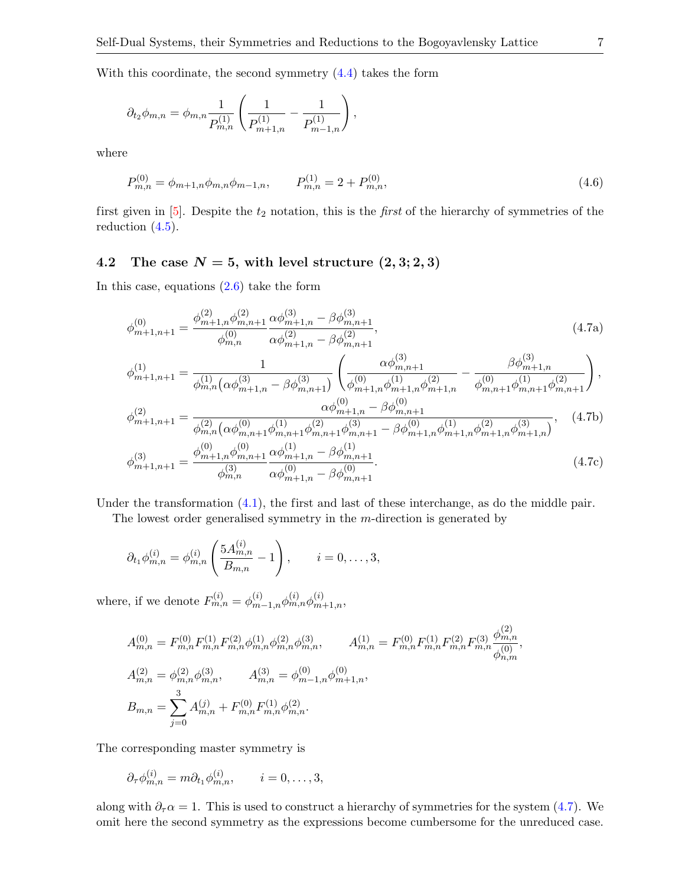With this coordinate, the second symmetry  $(4.4)$  takes the form

<span id="page-7-1"></span>
$$
\partial_{t_2}\phi_{m,n} = \phi_{m,n} \frac{1}{P_{m,n}^{(1)}} \left( \frac{1}{P_{m+1,n}^{(1)}} - \frac{1}{P_{m-1,n}^{(1)}} \right),
$$

where

<span id="page-7-2"></span>
$$
P_{m,n}^{(0)} = \phi_{m+1,n}\phi_{m,n}\phi_{m-1,n}, \qquad P_{m,n}^{(1)} = 2 + P_{m,n}^{(0)}, \tag{4.6}
$$

first given in  $[5]$ . Despite the  $t_2$  notation, this is the *first* of the hierarchy of symmetries of the reduction [\(4.5\)](#page-5-2).

#### 4.2 The case  $N = 5$ , with level structure  $(2, 3; 2, 3)$

In this case, equations  $(2.6)$  take the form

$$
\phi_{m+1,n+1}^{(0)} = \frac{\phi_{m+1,n}^{(2)} \phi_{m,n+1}^{(2)}}{\phi_{m,n}^{(0)}} \frac{\alpha \phi_{m+1,n}^{(3)} - \beta \phi_{m,n+1}^{(3)}}{\alpha \phi_{m+1,n}^{(2)} - \beta \phi_{m,n+1}^{(2)}},
$$
\n(4.7a)

<span id="page-7-0"></span>
$$
\phi_{m+1,n+1}^{(1)} = \frac{1}{\phi_{m,n}^{(1)} (\alpha \phi_{m+1,n}^{(3)} - \beta \phi_{m,n+1}^{(3)})} \left( \frac{\alpha \phi_{m,n+1}^{(3)}}{\phi_{m+1,n}^{(0)} \phi_{m+1,n}^{(1)}} - \frac{\beta \phi_{m+1,n}^{(3)}}{\phi_{m,n+1}^{(0)} \phi_{m+1,n}^{(1)}} \right),
$$
  

$$
\phi_{m,n+1}^{(2)} = \phi_{m,n+1}^{(3)} \phi_{m,n+1}^{(3)} \phi_{m,n+1}^{(3)} \phi_{m,n+1}^{(3)} \phi_{m,n+1}^{(3)} \phi_{m,n+1}^{(3)} \phi_{m,n+1}^{(3)} \phi_{m,n+1}^{(3)} \phi_{m,n+1}^{(3)} \phi_{m,n+1}^{(3)} \phi_{m,n+1}^{(3)} \phi_{m,n+1}^{(3)} \phi_{m,n+1}^{(3)} \phi_{m,n+1}^{(3)} \phi_{m,n+1}^{(3)} \phi_{m,n+1}^{(3)} \phi_{m,n+1}^{(3)} \phi_{m,n+1}^{(3)} \phi_{m,n+1}^{(3)} \phi_{m,n+1}^{(3)} \phi_{m,n+1}^{(3)} \phi_{m,n+1}^{(3)} \phi_{m,n+1}^{(3)} \phi_{m,n+1}^{(3)} \phi_{m,n+1}^{(3)} \phi_{m,n+1}^{(3)} \phi_{m,n+1}^{(3)} \phi_{m,n+1}^{(3)} \phi_{m,n+1}^{(3)} \phi_{m,n+1}^{(3)} \phi_{m,n+1}^{(3)} \phi_{m,n+1}^{(3)} \phi_{m,n+1}^{(3)} \phi_{m,n+1}^{(3)} \phi_{m,n+1}^{(3)} \phi_{m,n+1}^{(3)} \phi_{m,n+1}^{(3)} \phi_{m,n+1}^{(3)} \phi_{m,n+1}^{(3)} \phi_{m,n+1}^{(3)} \phi_{m,n+1}^{(3)} \phi_{m,n+1}^{(3)} \phi_{m,n+1}^{(3)} \phi_{m,n+1}^{(3)} \phi_{m,n+1}^{(3)} \phi_{m,n+1}^{(3)} \phi_{m,n+1}^{(3)} \phi_{m,n+1}^{(3)} \phi_{m,n+1}^{(3)} \phi_{
$$

$$
\phi_{m+1,n+1}^{(2)} = \frac{\alpha \varphi_{m+1,n} - \beta \varphi_{m,n+1}}{\phi_{m,n}^{(2)} (\alpha \phi_{m,n+1}^{(0)} \phi_{m,n+1}^{(1)} \phi_{m,n+1}^{(2)} \phi_{m,n+1}^{(3)} - \beta \phi_{m+1,n}^{(0)} \phi_{m+1,n}^{(1)} \phi_{m+1,n}^{(2)})}, \quad (4.7b)
$$

$$
\phi_{m+1,n+1}^{(3)} = \frac{\phi_{m+1,n}^{(0)} \phi_{m,n+1}^{(0)}}{\phi_{m,n}^{(3)}} \frac{\alpha \phi_{m+1,n}^{(1)} - \beta \phi_{m,n+1}^{(1)}}{\alpha \phi_{m+1,n}^{(0)} - \beta \phi_{m,n+1}^{(0)}}.
$$
\n(4.7c)

Under the transformation  $(4.1)$ , the first and last of these interchange, as do the middle pair.

The lowest order generalised symmetry in the m-direction is generated by

$$
\partial_{t_1} \phi_{m,n}^{(i)} = \phi_{m,n}^{(i)} \left( \frac{5A_{m,n}^{(i)}}{B_{m,n}} - 1 \right), \qquad i = 0, \dots, 3,
$$

where, if we denote  $F_{m,n}^{(i)} = \phi_{m-1,n}^{(i)} \phi_{m,n}^{(i)} \phi_{m+1,n}^{(i)},$ 

<span id="page-7-4"></span>
$$
A_{m,n}^{(0)} = F_{m,n}^{(0)} F_{m,n}^{(1)} F_{m,n}^{(2)} \phi_{m,n}^{(1)} \phi_{m,n}^{(2)} \phi_{m,n}^{(3)}, \qquad A_{m,n}^{(1)} = F_{m,n}^{(0)} F_{m,n}^{(1)} F_{m,n}^{(2)} F_{m,n}^{(3)} \frac{\phi_{m,n}^{(2)}}{\phi_{n,m}^{(0)}},
$$
  
\n
$$
A_{m,n}^{(2)} = \phi_{m,n}^{(2)} \phi_{m,n}^{(3)}, \qquad A_{m,n}^{(3)} = \phi_{m-1,n}^{(0)} \phi_{m+1,n}^{(0)},
$$
  
\n
$$
B_{m,n} = \sum_{j=0}^{3} A_{m,n}^{(j)} + F_{m,n}^{(0)} F_{m,n}^{(1)} \phi_{m,n}^{(2)}.
$$

<span id="page-7-3"></span>The corresponding master symmetry is

$$
\partial_{\tau}\phi_{m,n}^{(i)} = m\partial_{t_1}\phi_{m,n}^{(i)}, \qquad i = 0, \ldots, 3,
$$

along with  $\partial_{\tau} \alpha = 1$ . This is used to construct a hierarchy of symmetries for the system [\(4.7\)](#page-6-0). We omit here the second symmetry as the expressions become cumbersome for the unreduced case.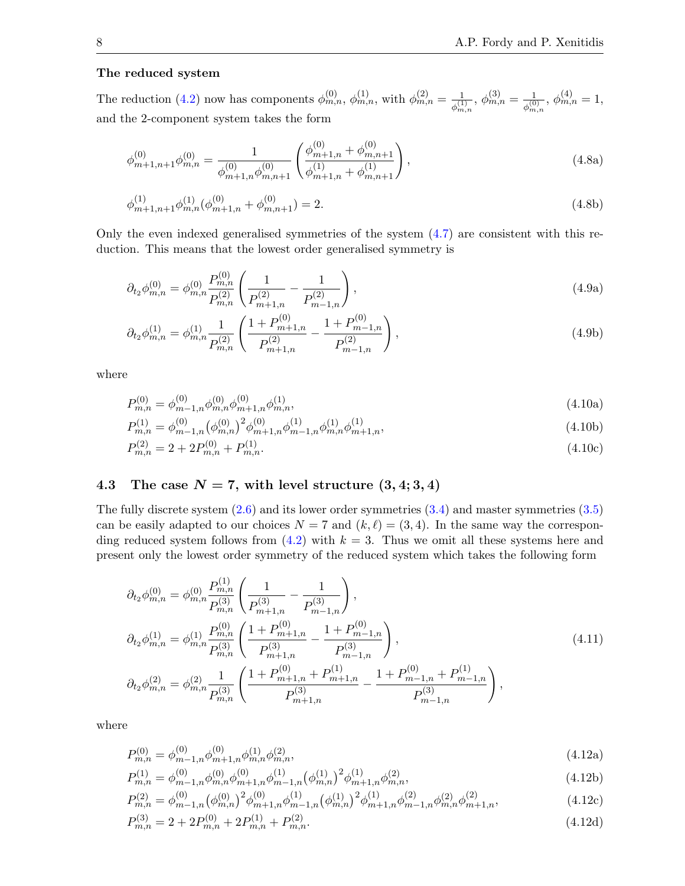#### <span id="page-8-1"></span>The reduced system

The reduction [\(4.2\)](#page-4-0) now has components  $\phi_{m,n}^{(0)}$ ,  $\phi_{m,n}^{(1)}$ , with  $\phi_{m,n}^{(2)} = \frac{1}{\sqrt{1}}$  $\frac{1}{\phi^{(1)}_{m,n}},\, \phi^{(3)}_{m,n}=\frac{1}{\phi^{(0)}_m}$  $\frac{1}{\phi^{(0)}_{m,n}},\, \phi^{(4)}_{m,n}=1,$ and the 2-component system takes the form

$$
\phi_{m+1,n+1}^{(0)}\phi_{m,n}^{(0)} = \frac{1}{\phi_{m+1,n}^{(0)}\phi_{m,n+1}^{(0)}} \left(\frac{\phi_{m+1,n}^{(0)} + \phi_{m,n+1}^{(0)}}{\phi_{m+1,n}^{(1)} + \phi_{m,n+1}^{(1)}}\right),\tag{4.8a}
$$

$$
\phi_{m+1,n+1}^{(1)} \phi_{m,n}^{(1)} (\phi_{m+1,n}^{(0)} + \phi_{m,n+1}^{(0)}) = 2.
$$
\n(4.8b)

Only the even indexed generalised symmetries of the system [\(4.7\)](#page-6-0) are consistent with this reduction. This means that the lowest order generalised symmetry is

$$
\partial_{t_2} \phi_{m,n}^{(0)} = \phi_{m,n}^{(0)} \frac{P_{m,n}^{(0)}}{P_{m,n}^{(2)}} \left( \frac{1}{P_{m+1,n}^{(2)}} - \frac{1}{P_{m-1,n}^{(2)}} \right),\tag{4.9a}
$$

<span id="page-8-2"></span>
$$
\partial_{t_2} \phi_{m,n}^{(1)} = \phi_{m,n}^{(1)} \frac{1}{P_{m,n}^{(2)}} \left( \frac{1 + P_{m+1,n}^{(0)}}{P_{m+1,n}^{(2)}} - \frac{1 + P_{m-1,n}^{(0)}}{P_{m-1,n}^{(2)}} \right),\tag{4.9b}
$$

where

<span id="page-8-0"></span>
$$
P_{m,n}^{(0)} = \phi_{m-1,n}^{(0)} \phi_{m,n}^{(0)} \phi_{m+1,n}^{(0)} \phi_{m,n}^{(1)},\tag{4.10a}
$$

$$
P_{m,n}^{(1)} = \phi_{m-1,n}^{(0)} (\phi_{m,n}^{(0)})^2 \phi_{m+1,n}^{(0)} \phi_{m-1,n}^{(1)} \phi_{m,n}^{(1)} \phi_{m+1,n}^{(1)}, \tag{4.10b}
$$

$$
P_{m,n}^{(2)} = 2 + 2P_{m,n}^{(0)} + P_{m,n}^{(1)}.\tag{4.10c}
$$

#### 4.3 The case  $N = 7$ , with level structure  $(3, 4; 3, 4)$

The fully discrete system  $(2.6)$  and its lower order symmetries  $(3.4)$  and master symmetries  $(3.5)$ can be easily adapted to our choices  $N = 7$  and  $(k, \ell) = (3, 4)$ . In the same way the corresponding reduced system follows from  $(4.2)$  with  $k = 3$ . Thus we omit all these systems here and present only the lowest order symmetry of the reduced system which takes the following form

$$
\partial_{t_2}\phi_{m,n}^{(0)} = \phi_{m,n}^{(0)} \frac{P_{m,n}^{(1)}}{P_{m,n}^{(3)}} \left( \frac{1}{P_{m+1,n}^{(3)}} - \frac{1}{P_{m-1,n}^{(3)}} \right),
$$
\n
$$
\partial_{t_2}\phi_{m,n}^{(1)} = \phi_{m,n}^{(1)} \frac{P_{m,n}^{(0)}}{P_{m,n}^{(3)}} \left( \frac{1 + P_{m+1,n}^{(0)}}{P_{m+1,n}^{(3)}} - \frac{1 + P_{m-1,n}^{(0)}}{P_{m-1,n}^{(3)}} \right),
$$
\n
$$
\partial_{t_2}\phi_{m,n}^{(2)} = \phi_{m,n}^{(2)} \frac{1}{P_{m,n}^{(3)}} \left( \frac{1 + P_{m+1,n}^{(0)} + P_{m+1,n}^{(1)}}{P_{m+1,n}^{(3)}} - \frac{1 + P_{m-1,n}^{(0)} + P_{m-1,n}^{(1)}}{P_{m-1,n}^{(3)}} \right),
$$
\n(4.11)

where

<span id="page-8-3"></span>
$$
P_{m,n}^{(0)} = \phi_{m-1,n}^{(0)} \phi_{m+1,n}^{(0)} \phi_{m,n}^{(1)} \phi_{m,n}^{(2)},\tag{4.12a}
$$

$$
P_{m,n}^{(1)} = \phi_{m-1,n}^{(0)} \phi_{m,n}^{(0)} \phi_{m+1,n}^{(0)} \phi_{m-1,n}^{(1)} \left(\phi_{m,n}^{(1)}\right)^2 \phi_{m+1,n}^{(1)} \phi_{m,n}^{(2)},\tag{4.12b}
$$

$$
P_{m,n}^{(2)} = \phi_{m-1,n}^{(0)} (\phi_{m,n}^{(0)})^2 \phi_{m+1,n}^{(0)} \phi_{m-1,n}^{(1)} (\phi_{m,n}^{(1)})^2 \phi_{m+1,n}^{(1)} \phi_{m-1,n}^{(2)} \phi_{m,n,n}^{(2)} \phi_{m+1,n}^{(2)},
$$
\n(4.12c)

$$
P_{m,n}^{(3)} = 2 + 2P_{m,n}^{(0)} + 2P_{m,n}^{(1)} + P_{m,n}^{(2)}.
$$
\n(4.12d)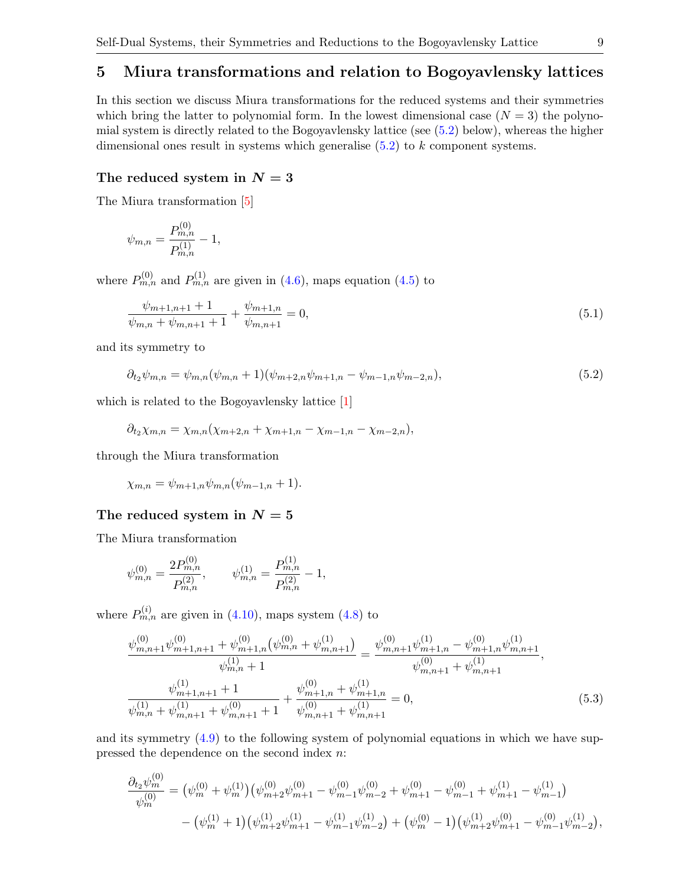#### 5 Miura transformations and relation to Bogoyavlensky lattices

In this section we discuss Miura transformations for the reduced systems and their symmetries which bring the latter to polynomial form. In the lowest dimensional case  $(N = 3)$  the polynomial system is directly related to the Bogoyavlensky lattice (see [\(5.2\)](#page-8-0) below), whereas the higher dimensional ones result in systems which generalise [\(5.2\)](#page-8-0) to k component systems.

#### The reduced system in  $N = 3$

The Miura transformation [\[5\]](#page-9-3)

<span id="page-9-5"></span>
$$
\psi_{m,n} = \frac{P_{m,n}^{(0)}}{P_{m,n}^{(1)}} - 1,
$$

where  $P_{m,n}^{(0)}$  and  $P_{m,n}^{(1)}$  are given in [\(4.6\)](#page-6-1), maps equation [\(4.5\)](#page-5-2) to

<span id="page-9-6"></span>
$$
\frac{\psi_{m+1,n+1} + 1}{\psi_{m,n} + \psi_{m,n+1} + 1} + \frac{\psi_{m+1,n}}{\psi_{m,n+1}} = 0,
$$
\n(5.1)

and its symmetry to

$$
\partial_{t_2}\psi_{m,n} = \psi_{m,n}(\psi_{m,n}+1)(\psi_{m+2,n}\psi_{m+1,n} - \psi_{m-1,n}\psi_{m-2,n}),
$$
\n(5.2)

which is related to the Bogoyavlensky lattice [\[1\]](#page-9-4)

$$
\partial_{t_2}\chi_{m,n} = \chi_{m,n}(\chi_{m+2,n} + \chi_{m+1,n} - \chi_{m-1,n} - \chi_{m-2,n}),
$$

through the Miura transformation

$$
\chi_{m,n} = \psi_{m+1,n} \psi_{m,n}(\psi_{m-1,n} + 1).
$$

#### The reduced system in  $N = 5$

The Miura transformation

$$
\psi_{m,n}^{(0)}=\frac{2P_{m,n}^{(0)}}{P_{m,n}^{(2)}},\qquad \psi_{m,n}^{(1)}=\frac{P_{m,n}^{(1)}}{P_{m,n}^{(2)}}-1,
$$

where  $P_{m,n}^{(i)}$  are given in [\(4.10\)](#page-7-0), maps system [\(4.8\)](#page-7-1) to

<span id="page-9-4"></span>
$$
\frac{\psi_{m,n+1}^{(0)}\psi_{m,n+1,n+1}^{(0)} + \psi_{m+1,n}^{(0)}(\psi_{m,n}^{(0)} + \psi_{m,n+1}^{(1)})}{\psi_{m,n}^{(1)} + 1} = \frac{\psi_{m,n+1}^{(0)}\psi_{m+1,n}^{(1)} - \psi_{m+1,n}^{(0)}\psi_{m,n+1}^{(1)}}{\psi_{m,n+1}^{(0)} + \psi_{m,n+1}^{(1)}},
$$
\n
$$
\frac{\psi_{m+1,n+1}^{(1)} + 1}{\psi_{m,n+1}^{(1)} + \psi_{m,n+1}^{(0)} + 1} + \frac{\psi_{m+1,n}^{(0)} + \psi_{m+1,n}^{(1)}}{\psi_{m,n+1}^{(0)} + \psi_{m,n+1}^{(1)}} = 0,
$$
\n(5.3)

<span id="page-9-7"></span><span id="page-9-3"></span><span id="page-9-1"></span><span id="page-9-0"></span>and its symmetry [\(4.9\)](#page-7-2) to the following system of polynomial equations in which we have suppressed the dependence on the second index n:

<span id="page-9-2"></span>
$$
\frac{\partial_{t_2}\psi_m^{(0)}}{\psi_m^{(0)}} = (\psi_m^{(0)} + \psi_m^{(1)}) (\psi_{m+2}^{(0)}\psi_{m+1}^{(0)} - \psi_{m-1}^{(0)}\psi_{m-2}^{(0)} + \psi_{m+1}^{(0)} - \psi_{m-1}^{(0)} + \psi_{m+1}^{(1)} - \psi_{m-1}^{(1)}) - (\psi_m^{(1)} + 1) (\psi_{m+2}^{(1)}\psi_{m+1}^{(1)} - \psi_{m-1}^{(1)}\psi_{m-2}^{(1)}) + (\psi_m^{(0)} - 1) (\psi_{m+2}^{(1)}\psi_{m+1}^{(0)} - \psi_{m-1}^{(0)}\psi_{m-2}^{(1)}),
$$